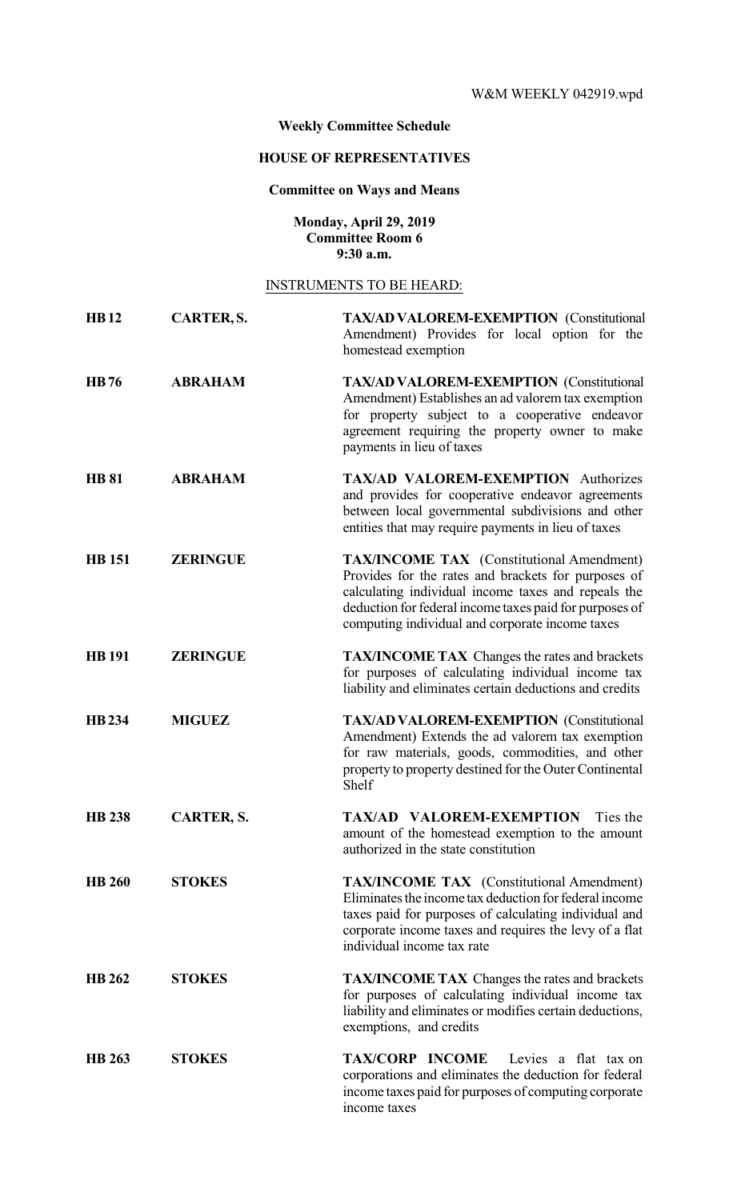## **Weekly Committee Schedule**

# **HOUSE OF REPRESENTATIVES**

## **Committee on Ways and Means**

#### **Monday, April 29, 2019 Committee Room 6 9:30 a.m.**

## INSTRUMENTS TO BE HEARD:

| <b>HB12</b>   | CARTER, S.        | <b>TAX/AD VALOREM-EXEMPTION</b> (Constitutional<br>Amendment) Provides for local option for the<br>homestead exemption                                                                                                                                                       |
|---------------|-------------------|------------------------------------------------------------------------------------------------------------------------------------------------------------------------------------------------------------------------------------------------------------------------------|
| <b>HB76</b>   | <b>ABRAHAM</b>    | <b>TAX/AD VALOREM-EXEMPTION (Constitutional</b><br>Amendment) Establishes an ad valorem tax exemption<br>for property subject to a cooperative endeavor<br>agreement requiring the property owner to make<br>payments in lieu of taxes                                       |
| <b>HB 81</b>  | <b>ABRAHAM</b>    | TAX/AD VALOREM-EXEMPTION Authorizes<br>and provides for cooperative endeavor agreements<br>between local governmental subdivisions and other<br>entities that may require payments in lieu of taxes                                                                          |
| <b>HB</b> 151 | <b>ZERINGUE</b>   | <b>TAX/INCOME TAX</b> (Constitutional Amendment)<br>Provides for the rates and brackets for purposes of<br>calculating individual income taxes and repeals the<br>deduction for federal income taxes paid for purposes of<br>computing individual and corporate income taxes |
| <b>HB</b> 191 | <b>ZERINGUE</b>   | <b>TAX/INCOME TAX</b> Changes the rates and brackets<br>for purposes of calculating individual income tax<br>liability and eliminates certain deductions and credits                                                                                                         |
| <b>HB234</b>  | <b>MIGUEZ</b>     | <b>TAX/AD VALOREM-EXEMPTION (Constitutional</b><br>Amendment) Extends the ad valorem tax exemption<br>for raw materials, goods, commodities, and other<br>property to property destined for the Outer Continental<br>Shelf                                                   |
| <b>HB 238</b> | <b>CARTER, S.</b> | TAX/AD VALOREM-EXEMPTION<br>Ties the<br>amount of the homestead exemption to the amount<br>authorized in the state constitution                                                                                                                                              |
| <b>HB 260</b> | <b>STOKES</b>     | <b>TAX/INCOME TAX</b> (Constitutional Amendment)<br>Eliminates the income tax deduction for federal income<br>taxes paid for purposes of calculating individual and<br>corporate income taxes and requires the levy of a flat<br>individual income tax rate                  |
| <b>HB</b> 262 | <b>STOKES</b>     | <b>TAX/INCOME TAX</b> Changes the rates and brackets<br>for purposes of calculating individual income tax<br>liability and eliminates or modifies certain deductions,<br>exemptions, and credits                                                                             |
| <b>HB 263</b> | <b>STOKES</b>     | TAX/CORP INCOME<br>Levies a flat tax on<br>corporations and eliminates the deduction for federal<br>income taxes paid for purposes of computing corporate<br>income taxes                                                                                                    |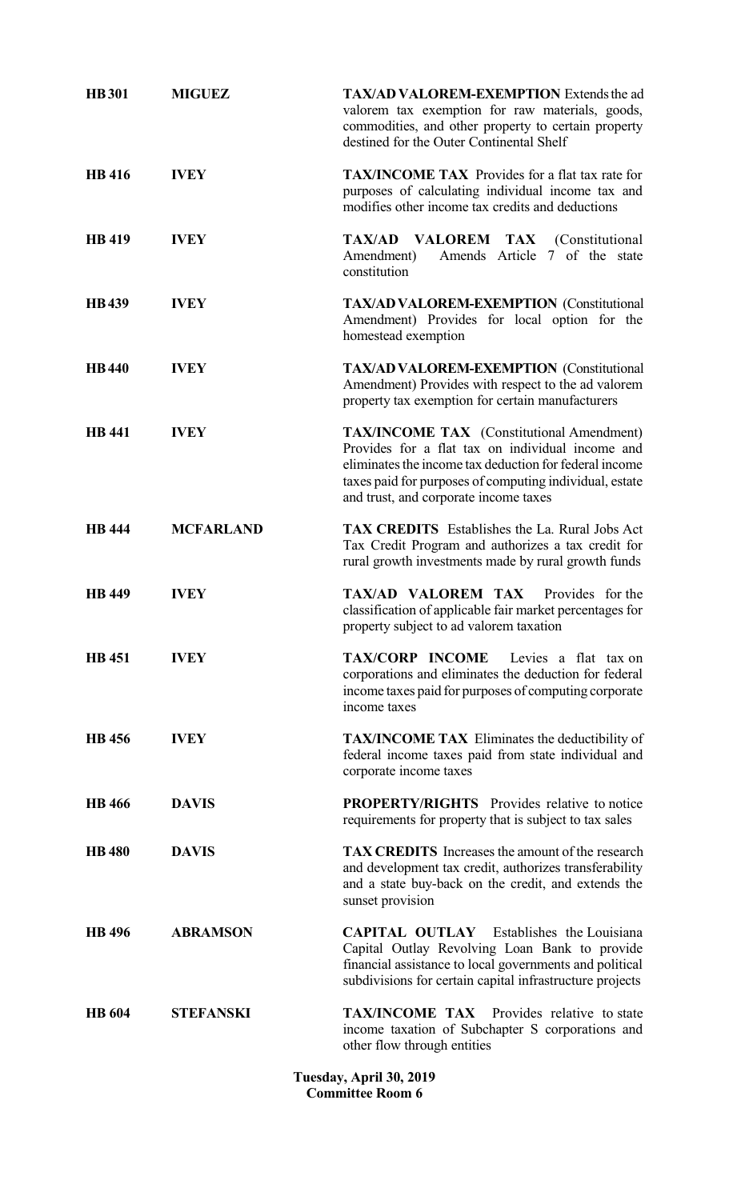| <b>HB</b> 301 | <b>MIGUEZ</b>    | <b>TAX/AD VALOREM-EXEMPTION Extends the ad</b><br>valorem tax exemption for raw materials, goods,<br>commodities, and other property to certain property<br>destined for the Outer Continental Shelf                                                               |
|---------------|------------------|--------------------------------------------------------------------------------------------------------------------------------------------------------------------------------------------------------------------------------------------------------------------|
| <b>HB</b> 416 | <b>IVEY</b>      | <b>TAX/INCOME TAX</b> Provides for a flat tax rate for<br>purposes of calculating individual income tax and<br>modifies other income tax credits and deductions                                                                                                    |
| <b>HB</b> 419 | <b>IVEY</b>      | TAX/AD VALOREM TAX (Constitutional<br>Amends Article 7 of the state<br>Amendment)<br>constitution                                                                                                                                                                  |
| <b>HB439</b>  | <b>IVEY</b>      | <b>TAX/AD VALOREM-EXEMPTION</b> (Constitutional<br>Amendment) Provides for local option for the<br>homestead exemption                                                                                                                                             |
| <b>HB</b> 440 | <b>IVEY</b>      | <b>TAX/AD VALOREM-EXEMPTION (Constitutional</b><br>Amendment) Provides with respect to the ad valorem<br>property tax exemption for certain manufacturers                                                                                                          |
| <b>HB</b> 441 | <b>IVEY</b>      | <b>TAX/INCOME TAX</b> (Constitutional Amendment)<br>Provides for a flat tax on individual income and<br>eliminates the income tax deduction for federal income<br>taxes paid for purposes of computing individual, estate<br>and trust, and corporate income taxes |
| <b>HB</b> 444 | <b>MCFARLAND</b> | <b>TAX CREDITS</b> Establishes the La. Rural Jobs Act<br>Tax Credit Program and authorizes a tax credit for<br>rural growth investments made by rural growth funds                                                                                                 |
| <b>HB</b> 449 | <b>IVEY</b>      | TAX/AD VALOREM TAX<br>Provides for the<br>classification of applicable fair market percentages for<br>property subject to ad valorem taxation                                                                                                                      |
| <b>HB</b> 451 | <b>IVEY</b>      | <b>TAX/CORP INCOME</b><br>Levies a flat tax on<br>corporations and eliminates the deduction for federal<br>income taxes paid for purposes of computing corporate<br>income taxes                                                                                   |
| <b>HB</b> 456 | <b>IVEY</b>      | <b>TAX/INCOME TAX</b> Eliminates the deductibility of<br>federal income taxes paid from state individual and<br>corporate income taxes                                                                                                                             |
| <b>HB</b> 466 | <b>DAVIS</b>     | <b>PROPERTY/RIGHTS</b> Provides relative to notice<br>requirements for property that is subject to tax sales                                                                                                                                                       |
| <b>HB</b> 480 | <b>DAVIS</b>     | <b>TAX CREDITS</b> Increases the amount of the research<br>and development tax credit, authorizes transferability<br>and a state buy-back on the credit, and extends the<br>sunset provision                                                                       |
| <b>HB</b> 496 | <b>ABRAMSON</b>  | <b>CAPITAL OUTLAY</b> Establishes the Louisiana<br>Capital Outlay Revolving Loan Bank to provide<br>financial assistance to local governments and political<br>subdivisions for certain capital infrastructure projects                                            |
| <b>HB</b> 604 | <b>STEFANSKI</b> | <b>TAX/INCOME TAX</b> Provides relative to state<br>income taxation of Subchapter S corporations and<br>other flow through entities                                                                                                                                |

**Tuesday, April 30, 2019 Committee Room 6**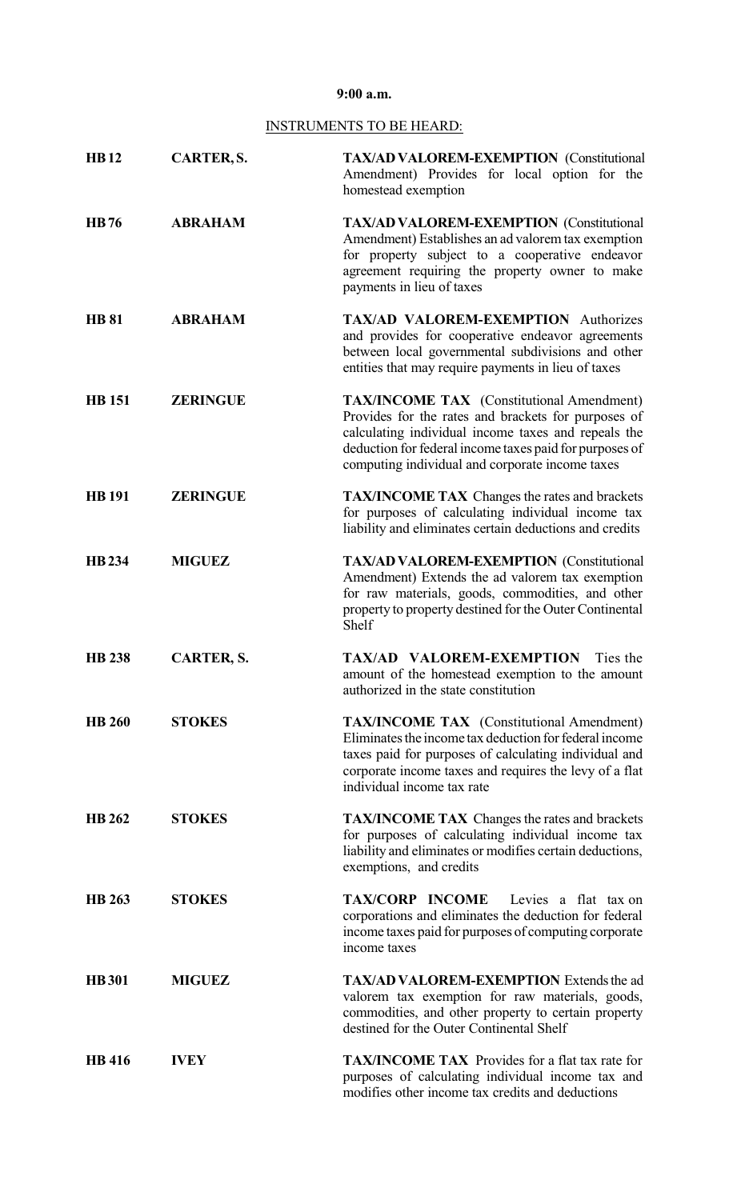## **9:00 a.m.**

# INSTRUMENTS TO BE HEARD:

| <b>HB12</b>   | CARTER, S.        | <b>TAX/AD VALOREM-EXEMPTION</b> (Constitutional<br>Amendment) Provides for local option for the<br>homestead exemption                                                                                                                                                       |
|---------------|-------------------|------------------------------------------------------------------------------------------------------------------------------------------------------------------------------------------------------------------------------------------------------------------------------|
| <b>HB76</b>   | <b>ABRAHAM</b>    | <b>TAX/AD VALOREM-EXEMPTION</b> (Constitutional<br>Amendment) Establishes an ad valorem tax exemption<br>for property subject to a cooperative endeavor<br>agreement requiring the property owner to make<br>payments in lieu of taxes                                       |
| <b>HB 81</b>  | <b>ABRAHAM</b>    | TAX/AD VALOREM-EXEMPTION Authorizes<br>and provides for cooperative endeavor agreements<br>between local governmental subdivisions and other<br>entities that may require payments in lieu of taxes                                                                          |
| <b>HB</b> 151 | <b>ZERINGUE</b>   | <b>TAX/INCOME TAX</b> (Constitutional Amendment)<br>Provides for the rates and brackets for purposes of<br>calculating individual income taxes and repeals the<br>deduction for federal income taxes paid for purposes of<br>computing individual and corporate income taxes |
| <b>HB</b> 191 | <b>ZERINGUE</b>   | <b>TAX/INCOME TAX</b> Changes the rates and brackets<br>for purposes of calculating individual income tax<br>liability and eliminates certain deductions and credits                                                                                                         |
| <b>HB</b> 234 | <b>MIGUEZ</b>     | <b>TAX/AD VALOREM-EXEMPTION (Constitutional</b><br>Amendment) Extends the ad valorem tax exemption<br>for raw materials, goods, commodities, and other<br>property to property destined for the Outer Continental<br>Shelf                                                   |
| <b>HB</b> 238 | <b>CARTER, S.</b> | TAX/AD VALOREM-EXEMPTION<br>Ties the<br>amount of the homestead exemption to the amount<br>authorized in the state constitution                                                                                                                                              |
| <b>HB 260</b> | <b>STOKES</b>     | <b>TAX/INCOME TAX</b> (Constitutional Amendment)<br>Eliminates the income tax deduction for federal income<br>taxes paid for purposes of calculating individual and<br>corporate income taxes and requires the levy of a flat<br>individual income tax rate                  |
| <b>HB</b> 262 | <b>STOKES</b>     | <b>TAX/INCOME TAX</b> Changes the rates and brackets<br>for purposes of calculating individual income tax<br>liability and eliminates or modifies certain deductions,<br>exemptions, and credits                                                                             |
| <b>HB</b> 263 | <b>STOKES</b>     | TAX/CORP INCOME<br>Levies a flat tax on<br>corporations and eliminates the deduction for federal<br>income taxes paid for purposes of computing corporate<br>income taxes                                                                                                    |
| <b>HB</b> 301 | <b>MIGUEZ</b>     | <b>TAX/AD VALOREM-EXEMPTION</b> Extends the ad<br>valorem tax exemption for raw materials, goods,<br>commodities, and other property to certain property<br>destined for the Outer Continental Shelf                                                                         |
| <b>HB</b> 416 | <b>IVEY</b>       | <b>TAX/INCOME TAX</b> Provides for a flat tax rate for<br>purposes of calculating individual income tax and<br>modifies other income tax credits and deductions                                                                                                              |